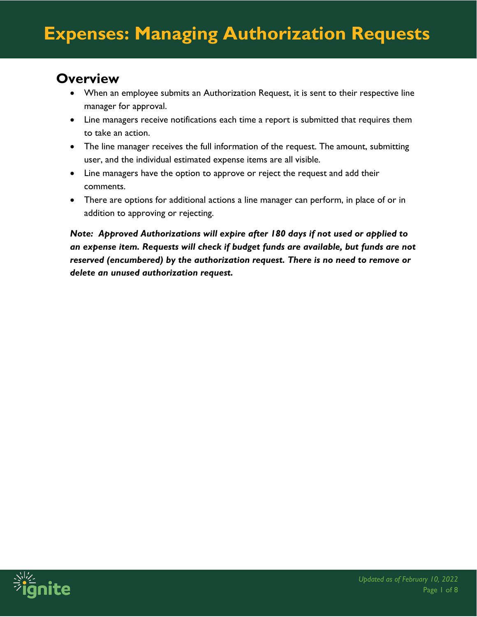#### **Overview**

- When an employee submits an Authorization Request, it is sent to their respective line manager for approval.
- Line managers receive notifications each time a report is submitted that requires them to take an action.
- The line manager receives the full information of the request. The amount, submitting user, and the individual estimated expense items are all visible.
- Line managers have the option to approve or reject the request and add their comments.
- There are options for additional actions a line manager can perform, in place of or in addition to approving or rejecting.

*Note: Approved Authorizations will expire after 180 days if not used or applied to an expense item. Requests will check if budget funds are available, but funds are not reserved (encumbered) by the authorization request. There is no need to remove or delete an unused authorization request.*

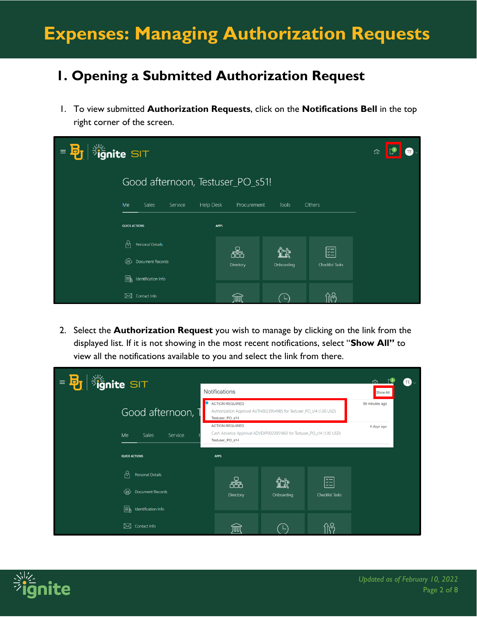# **Expenses: Managing Authorization Requests**

#### **1. Opening a Submitted Authorization Request**

1. To view submitted **Authorization Requests**, click on the **Notifications Bell** in the top right corner of the screen.

| <b>Sule</b><br><b>Fignite</b> SIT<br>E<br>G |                 |                    |                 | ⋒ |
|---------------------------------------------|-----------------|--------------------|-----------------|---|
| Good afternoon, Testuser_PO_s51!            |                 |                    |                 |   |
| Me<br>Sales<br><b>Help Desk</b><br>Service  | Procurement     | Tools              | Others          |   |
| <b>QUICK ACTIONS</b>                        | <b>APPS</b>     |                    |                 |   |
| b.<br>Personal Details                      |                 |                    | 罔               |   |
| ⊕<br>Document Records                       | æħ<br>Directory | 95 T<br>Onboarding | Checklist Tasks |   |
| ⊫ե<br>Identification Info                   |                 |                    |                 |   |
| $\boxtimes$ Contact Info                    |                 |                    | ስឩ              |   |

2. Select the **Authorization Request** you wish to manage by clicking on the link from the displayed list. If it is not showing in the most recent notifications, select "**Show All"** to view all the notifications available to you and select the link from there.



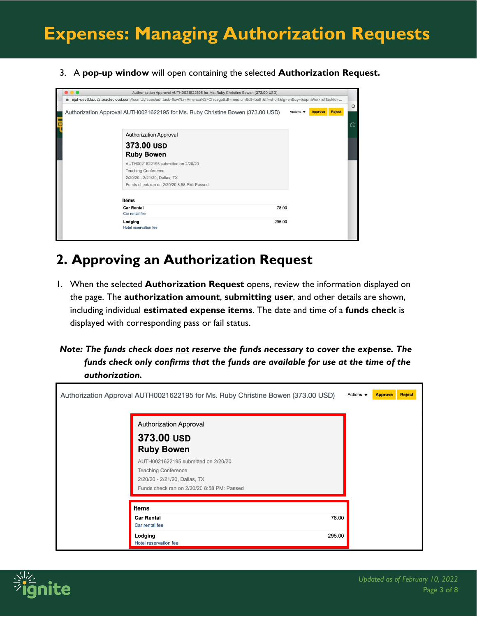3. A **pop-up window** will open containing the selected **Authorization Request.**

| Authorization Approval AUTH0021622195 for Ms. Ruby Christine Bowen (373.00 USD)                                                          |                              |                |               |
|------------------------------------------------------------------------------------------------------------------------------------------|------------------------------|----------------|---------------|
| eiof-dev3.fa.us2.oraclecloud.com/fscmUl/faces/adf.task-flow?tz=America%2FChicago&df=medium&dt=both&tf=short&lq=en&cy=&bpmWorklistTaskId= |                              |                |               |
| Authorization Approval AUTH0021622195 for Ms. Ruby Christine Bowen (373.00 USD)                                                          | Actions $\blacktriangledown$ | <b>Approve</b> | <b>Reject</b> |
| <b>Authorization Approval</b>                                                                                                            |                              |                |               |
| 373.00 USD                                                                                                                               |                              |                |               |
| <b>Ruby Bowen</b>                                                                                                                        |                              |                |               |
| AUTH0021622195 submitted on 2/20/20                                                                                                      |                              |                |               |
| <b>Teaching Conference</b>                                                                                                               |                              |                |               |
| 2/20/20 - 2/21/20, Dallas, TX                                                                                                            |                              |                |               |
| Funds check ran on 2/20/20 8:58 PM: Passed                                                                                               |                              |                |               |
| <b>Items</b>                                                                                                                             |                              |                |               |
| <b>Car Rental</b><br>78.00                                                                                                               |                              |                |               |
| Car rental fee                                                                                                                           |                              |                |               |
| 295.00<br>Lodging                                                                                                                        |                              |                |               |
| Hotel reservation fee                                                                                                                    |                              |                |               |

### **2. Approving an Authorization Request**

- 1. When the selected **Authorization Request** opens, review the information displayed on the page. The **authorization amount**, **submitting user**, and other details are shown, including individual **estimated expense items**. The date and time of a **funds check** is displayed with corresponding pass or fail status.
- *Note: The funds check does not reserve the funds necessary to cover the expense. The funds check only confirms that the funds are available for use at the time of the authorization.*

| Actions $\blacktriangledown$<br>Authorization Approval AUTH0021622195 for Ms. Ruby Christine Bowen (373.00 USD)<br><b>Approve</b><br><b>Authorization Approval</b><br>373.00 USD<br><b>Ruby Bowen</b><br>AUTH0021622195 submitted on 2/20/20<br><b>Teaching Conference</b><br>2/20/20 - 2/21/20, Dallas, TX<br>Funds check ran on 2/20/20 8:58 PM: Passed<br><b>Items</b> | Reject                                       |  |  |
|---------------------------------------------------------------------------------------------------------------------------------------------------------------------------------------------------------------------------------------------------------------------------------------------------------------------------------------------------------------------------|----------------------------------------------|--|--|
|                                                                                                                                                                                                                                                                                                                                                                           |                                              |  |  |
|                                                                                                                                                                                                                                                                                                                                                                           |                                              |  |  |
|                                                                                                                                                                                                                                                                                                                                                                           | 78.00<br><b>Car Rental</b><br>Car rental fee |  |  |
|                                                                                                                                                                                                                                                                                                                                                                           | 295.00<br>Lodging<br>Hotel reservation fee   |  |  |

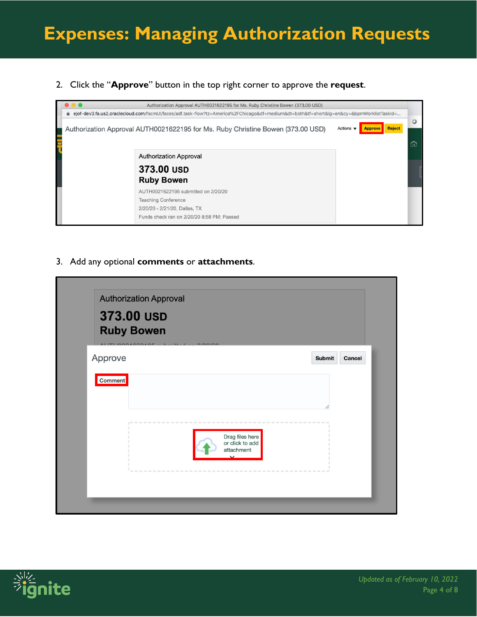2. Click the "**Approve**" button in the top right corner to approve the **request**.



3. Add any optional **comments** or **attachments**.

| <b>Authorization Approval</b><br>373.00 USD             |                                                  |               |        |
|---------------------------------------------------------|--------------------------------------------------|---------------|--------|
| <b>Ruby Bowen</b>                                       |                                                  |               |        |
| ALITILOO ACOOLITILA<br>100<br><b>COLLEGE</b><br>Approve | 010010                                           | <b>Submit</b> | Cancel |
| <b>Comment</b>                                          |                                                  |               |        |
|                                                         |                                                  |               |        |
|                                                         |                                                  |               |        |
|                                                         | Drag files here<br>or click to add<br>attachment |               |        |
|                                                         | $\checkmark$                                     |               |        |
|                                                         |                                                  |               |        |

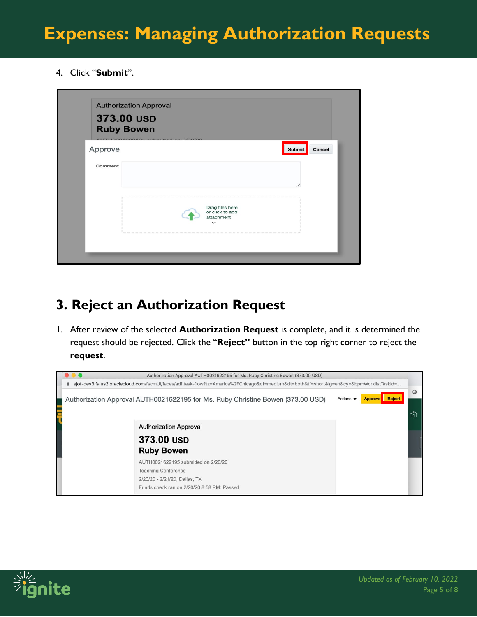4. Click "**Submit**".

| <b>Authorization Approval</b>   |                                                                 |                         |
|---------------------------------|-----------------------------------------------------------------|-------------------------|
| 373.00 USD<br><b>Ruby Bowen</b> |                                                                 |                         |
| Approve                         |                                                                 | <b>Submit</b><br>Cancel |
| Comment                         |                                                                 |                         |
|                                 | Drag files here<br>or click to add<br>attachment<br>$\check{ }$ |                         |
|                                 |                                                                 |                         |

## **3. Reject an Authorization Request**

1. After review of the selected **Authorization Request** is complete, and it is determined the request should be rejected. Click the "**Reject"** button in the top right corner to reject the **request**.



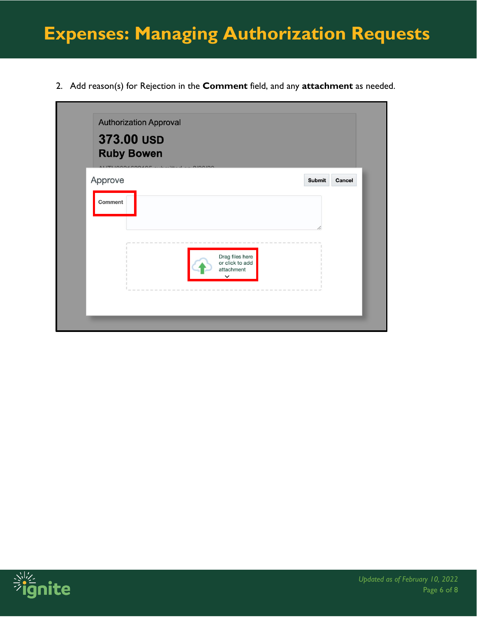# **Expenses: Managing Authorization Requests**

2. Add reason(s) for Rejection in the **Comment** field, and any **attachment** as needed.

| <b>Ruby Bowen</b><br>$511 -$<br><b>SECTION</b> | $-0100100$                         |                  |
|------------------------------------------------|------------------------------------|------------------|
| Approve                                        |                                    | Submit<br>Cancel |
| Comment                                        |                                    |                  |
|                                                |                                    |                  |
|                                                |                                    |                  |
|                                                | Drag files here<br>or click to add |                  |
|                                                | attachment<br>$\check{~}$          |                  |

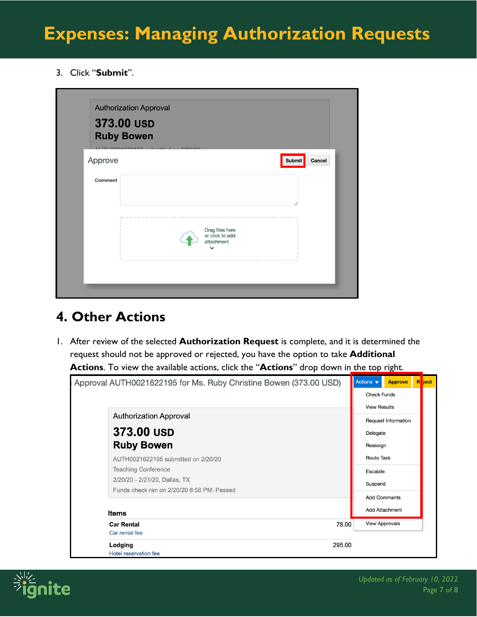3. Click "**Submit**".

| <b>Authorization Approval</b>          |                                                  |                                                 |
|----------------------------------------|--------------------------------------------------|-------------------------------------------------|
| 373.00 USD                             |                                                  |                                                 |
| <b>Ruby Bowen</b><br>ALITLIOOO ACOOLIT | -14<br>$11 - 1 - 0100100$                        |                                                 |
| Approve                                |                                                  | <b>Submit</b><br>Cancel                         |
| Comment                                |                                                  |                                                 |
|                                        |                                                  |                                                 |
|                                        |                                                  | test last last site and site and last last last |
|                                        | Drag files here<br>or click to add<br>attachment |                                                 |
|                                        | $\check{ }$                                      |                                                 |
|                                        |                                                  |                                                 |

### **4. Other Actions**

1. After review of the selected **Authorization Request** is complete, and it is determined the request should not be approved or rejected, you have the option to take **Additional Actions**. To view the available actions, click the "**Actions**" drop down in the top right.

| Approval AUTH0021622195 for Ms. Ruby Christine Bowen (373.00 USD) |        | Actions $\blacktriangledown$    | <b>Approve</b>        | <b>R</b> ect |  |
|-------------------------------------------------------------------|--------|---------------------------------|-----------------------|--------------|--|
|                                                                   |        | <b>Check Funds</b>              |                       |              |  |
|                                                                   |        | <b>View Results</b>             |                       |              |  |
| <b>Authorization Approval</b>                                     |        | Request Information<br>Delegate |                       |              |  |
| 373.00 USD                                                        |        |                                 |                       |              |  |
| <b>Ruby Bowen</b>                                                 |        | Reassign                        |                       |              |  |
| AUTH0021622195 submitted on 2/20/20                               |        | <b>Route Task</b>               |                       |              |  |
| <b>Teaching Conference</b>                                        |        | Escalate                        |                       |              |  |
| 2/20/20 - 2/21/20, Dallas, TX                                     |        |                                 | Suspend               |              |  |
| Funds check ran on 2/20/20 8:58 PM: Passed                        |        |                                 | <b>Add Comments</b>   |              |  |
| <b>Items</b>                                                      |        |                                 | <b>Add Attachment</b> |              |  |
| <b>Car Rental</b>                                                 | 78.00  |                                 | <b>View Approvals</b> |              |  |
| Car rental fee                                                    |        |                                 |                       |              |  |
| Lodging                                                           | 295.00 |                                 |                       |              |  |
| Hotel reservation fee                                             |        |                                 |                       |              |  |